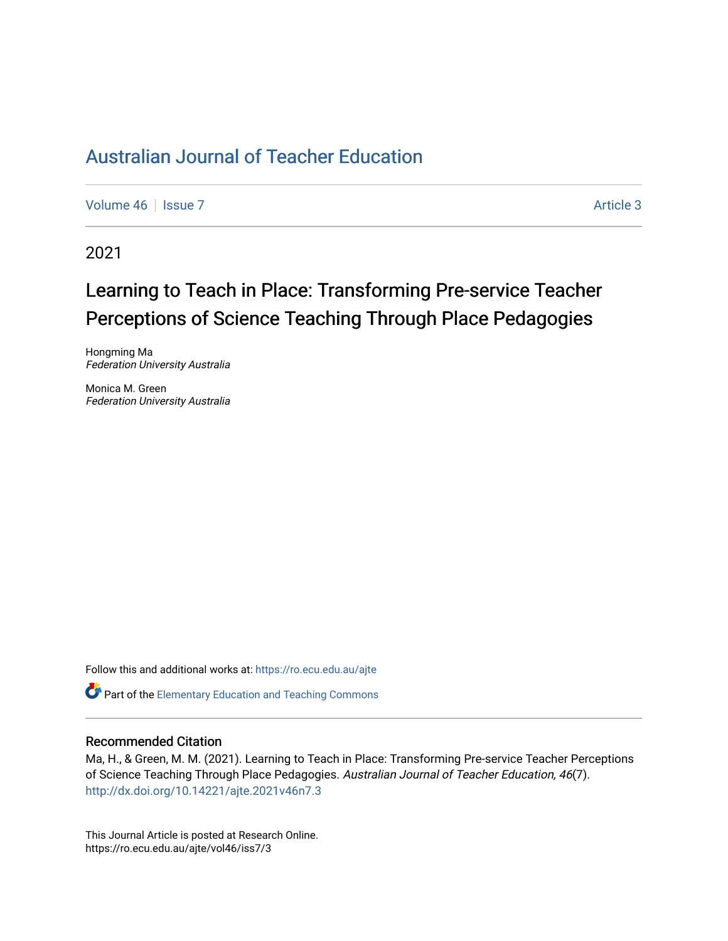## [Australian Journal of Teacher Education](https://ro.ecu.edu.au/ajte)

[Volume 46](https://ro.ecu.edu.au/ajte/vol46) | [Issue 7](https://ro.ecu.edu.au/ajte/vol46/iss7) Article 3

2021

# Learning to Teach in Place: Transforming Pre-service Teacher Perceptions of Science Teaching Through Place Pedagogies

Hongming Ma Federation University Australia

Monica M. Green Federation University Australia

Follow this and additional works at: [https://ro.ecu.edu.au/ajte](https://ro.ecu.edu.au/ajte?utm_source=ro.ecu.edu.au%2Fajte%2Fvol46%2Fiss7%2F3&utm_medium=PDF&utm_campaign=PDFCoverPages) 

**C** Part of the Elementary Education and Teaching Commons

#### Recommended Citation

Ma, H., & Green, M. M. (2021). Learning to Teach in Place: Transforming Pre-service Teacher Perceptions of Science Teaching Through Place Pedagogies. Australian Journal of Teacher Education, 46(7). <http://dx.doi.org/10.14221/ajte.2021v46n7.3>

This Journal Article is posted at Research Online. https://ro.ecu.edu.au/ajte/vol46/iss7/3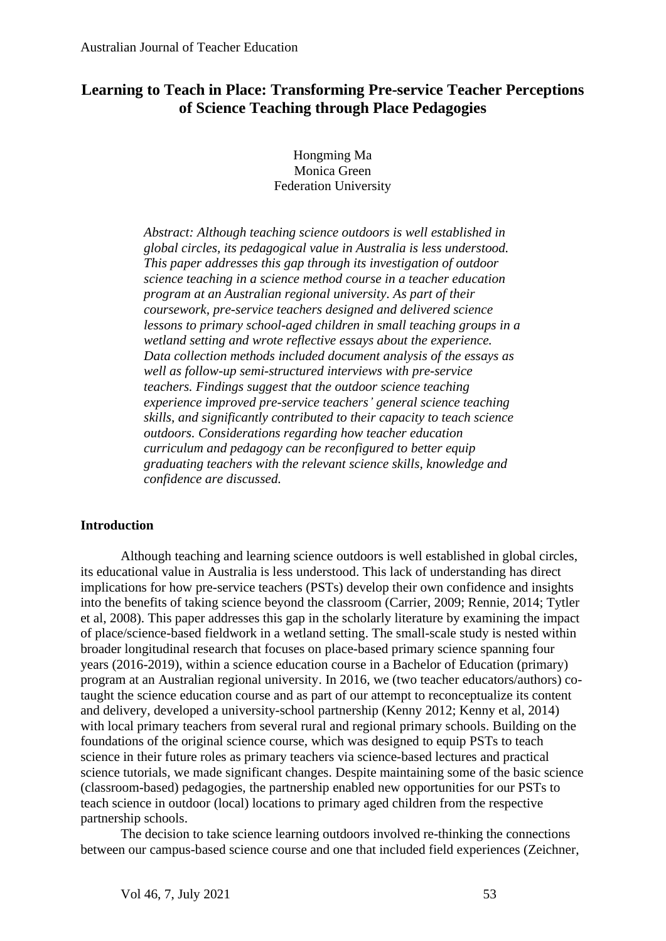## **Learning to Teach in Place: Transforming Pre-service Teacher Perceptions of Science Teaching through Place Pedagogies**

Hongming Ma Monica Green Federation University

*Abstract: Although teaching science outdoors is well established in global circles, its pedagogical value in Australia is less understood. This paper addresses this gap through its investigation of outdoor science teaching in a science method course in a teacher education program at an Australian regional university. As part of their coursework, pre-service teachers designed and delivered science lessons to primary school-aged children in small teaching groups in a wetland setting and wrote reflective essays about the experience. Data collection methods included document analysis of the essays as well as follow-up semi-structured interviews with pre-service teachers. Findings suggest that the outdoor science teaching experience improved pre-service teachers' general science teaching skills, and significantly contributed to their capacity to teach science outdoors. Considerations regarding how teacher education curriculum and pedagogy can be reconfigured to better equip graduating teachers with the relevant science skills, knowledge and confidence are discussed.*

### **Introduction**

Although teaching and learning science outdoors is well established in global circles, its educational value in Australia is less understood. This lack of understanding has direct implications for how pre-service teachers (PSTs) develop their own confidence and insights into the benefits of taking science beyond the classroom (Carrier, 2009; Rennie, 2014; Tytler et al, 2008). This paper addresses this gap in the scholarly literature by examining the impact of place/science-based fieldwork in a wetland setting. The small-scale study is nested within broader longitudinal research that focuses on place-based primary science spanning four years (2016-2019), within a science education course in a Bachelor of Education (primary) program at an Australian regional university. In 2016, we (two teacher educators/authors) cotaught the science education course and as part of our attempt to reconceptualize its content and delivery, developed a university-school partnership (Kenny 2012; Kenny et al, 2014) with local primary teachers from several rural and regional primary schools. Building on the foundations of the original science course, which was designed to equip PSTs to teach science in their future roles as primary teachers via science-based lectures and practical science tutorials, we made significant changes. Despite maintaining some of the basic science (classroom-based) pedagogies, the partnership enabled new opportunities for our PSTs to teach science in outdoor (local) locations to primary aged children from the respective partnership schools.

The decision to take science learning outdoors involved re-thinking the connections between our campus-based science course and one that included field experiences (Zeichner,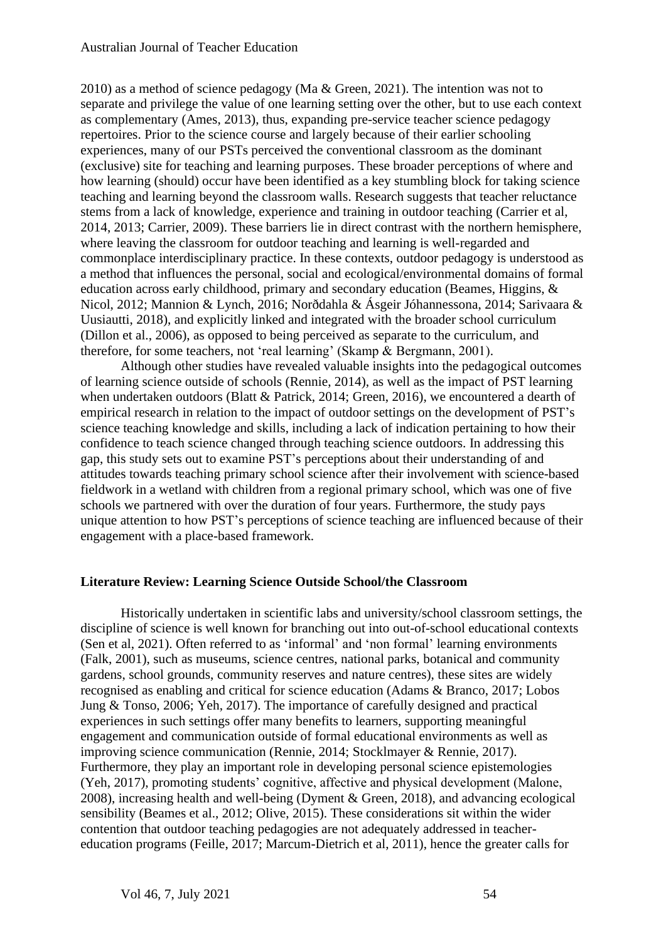#### Australian Journal of Teacher Education

2010) as a method of science pedagogy (Ma & Green, 2021). The intention was not to separate and privilege the value of one learning setting over the other, but to use each context as complementary (Ames, 2013), thus, expanding pre-service teacher science pedagogy repertoires. Prior to the science course and largely because of their earlier schooling experiences, many of our PSTs perceived the conventional classroom as the dominant (exclusive) site for teaching and learning purposes. These broader perceptions of where and how learning (should) occur have been identified as a key stumbling block for taking science teaching and learning beyond the classroom walls. Research suggests that teacher reluctance stems from a lack of knowledge, experience and training in outdoor teaching (Carrier et al, 2014, 2013; Carrier, 2009). These barriers lie in direct contrast with the northern hemisphere, where leaving the classroom for outdoor teaching and learning is well-regarded and commonplace interdisciplinary practice. In these contexts, outdoor pedagogy is understood as a method that influences the personal, social and ecological/environmental domains of formal education across early childhood, primary and secondary education (Beames, Higgins, & Nicol, 2012; Mannion & Lynch, 2016; Norðdahla & Ásgeir Jóhannessona, 2014; Sarivaara & Uusiautti, 2018), and explicitly linked and integrated with the broader school curriculum (Dillon et al., 2006), as opposed to being perceived as separate to the curriculum, and therefore, for some teachers, not 'real learning' (Skamp & Bergmann, 2001).

Although other studies have revealed valuable insights into the pedagogical outcomes of learning science outside of schools (Rennie, 2014), as well as the impact of PST learning when undertaken outdoors (Blatt & Patrick, 2014; Green, 2016), we encountered a dearth of empirical research in relation to the impact of outdoor settings on the development of PST's science teaching knowledge and skills, including a lack of indication pertaining to how their confidence to teach science changed through teaching science outdoors. In addressing this gap, this study sets out to examine PST's perceptions about their understanding of and attitudes towards teaching primary school science after their involvement with science-based fieldwork in a wetland with children from a regional primary school, which was one of five schools we partnered with over the duration of four years. Furthermore, the study pays unique attention to how PST's perceptions of science teaching are influenced because of their engagement with a place-based framework.

### **Literature Review: Learning Science Outside School/the Classroom**

Historically undertaken in scientific labs and university/school classroom settings, the discipline of science is well known for branching out into out-of-school educational contexts (Sen et al, 2021). Often referred to as 'informal' and 'non formal' learning environments (Falk, 2001), such as museums, science centres, national parks, botanical and community gardens, school grounds, community reserves and nature centres), these sites are widely recognised as enabling and critical for science education (Adams & Branco, 2017; Lobos Jung & Tonso, 2006; Yeh, 2017). The importance of carefully designed and practical experiences in such settings offer many benefits to learners, supporting meaningful engagement and communication outside of formal educational environments as well as improving science communication (Rennie, 2014; Stocklmayer & Rennie, 2017). Furthermore, they play an important role in developing personal science epistemologies (Yeh, 2017), promoting students' cognitive, affective and physical development (Malone, 2008), increasing health and well-being (Dyment & Green, 2018), and advancing ecological sensibility (Beames et al., 2012; Olive, 2015). These considerations sit within the wider contention that outdoor teaching pedagogies are not adequately addressed in teachereducation programs (Feille, 2017; Marcum-Dietrich et al, 2011), hence the greater calls for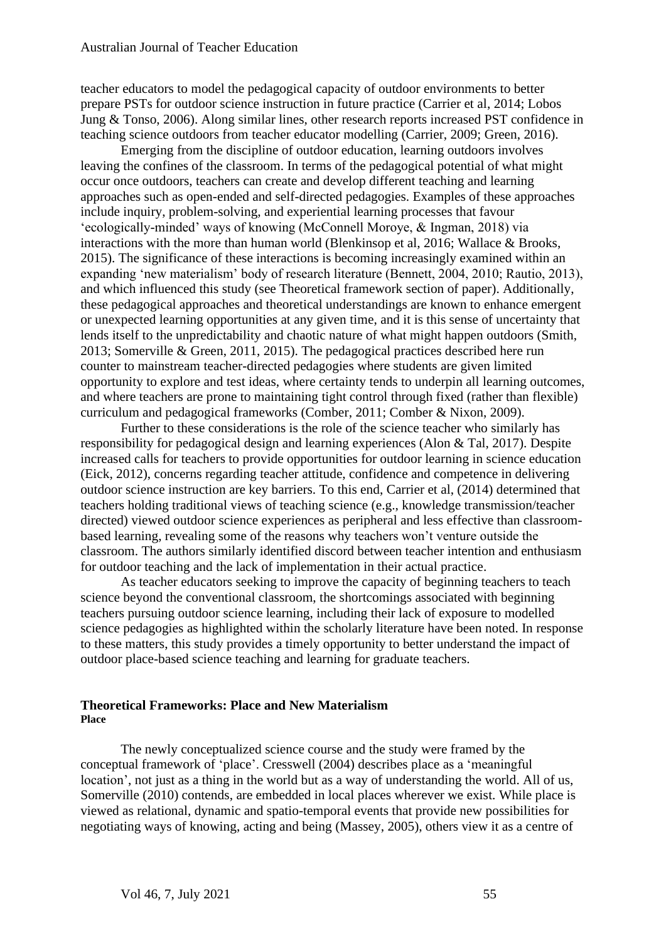teacher educators to model the pedagogical capacity of outdoor environments to better prepare PSTs for outdoor science instruction in future practice (Carrier et al, 2014; Lobos Jung & Tonso, 2006). Along similar lines, other research reports increased PST confidence in teaching science outdoors from teacher educator modelling (Carrier, 2009; Green, 2016).

Emerging from the discipline of outdoor education, learning outdoors involves leaving the confines of the classroom. In terms of the pedagogical potential of what might occur once outdoors, teachers can create and develop different teaching and learning approaches such as open-ended and self-directed pedagogies. Examples of these approaches include inquiry, problem-solving, and experiential learning processes that favour 'ecologically-minded' ways of knowing (McConnell Moroye, & Ingman, 2018) via interactions with the more than human world (Blenkinsop et al, 2016; Wallace & Brooks, 2015). The significance of these interactions is becoming increasingly examined within an expanding 'new materialism' body of research literature (Bennett, 2004, 2010; Rautio, 2013), and which influenced this study (see Theoretical framework section of paper). Additionally, these pedagogical approaches and theoretical understandings are known to enhance emergent or unexpected learning opportunities at any given time, and it is this sense of uncertainty that lends itself to the unpredictability and chaotic nature of what might happen outdoors (Smith, 2013; Somerville & Green, 2011, 2015). The pedagogical practices described here run counter to mainstream teacher-directed pedagogies where students are given limited opportunity to explore and test ideas, where certainty tends to underpin all learning outcomes, and where teachers are prone to maintaining tight control through fixed (rather than flexible) curriculum and pedagogical frameworks (Comber, 2011; Comber & Nixon, 2009).

Further to these considerations is the role of the science teacher who similarly has responsibility for pedagogical design and learning experiences (Alon & Tal, 2017). Despite increased calls for teachers to provide opportunities for outdoor learning in science education (Eick, 2012), concerns regarding teacher attitude, confidence and competence in delivering outdoor science instruction are key barriers. To this end, Carrier et al, (2014) determined that teachers holding traditional views of teaching science (e.g., knowledge transmission/teacher directed) viewed outdoor science experiences as peripheral and less effective than classroombased learning, revealing some of the reasons why teachers won't venture outside the classroom. The authors similarly identified discord between teacher intention and enthusiasm for outdoor teaching and the lack of implementation in their actual practice.

As teacher educators seeking to improve the capacity of beginning teachers to teach science beyond the conventional classroom, the shortcomings associated with beginning teachers pursuing outdoor science learning, including their lack of exposure to modelled science pedagogies as highlighted within the scholarly literature have been noted. In response to these matters, this study provides a timely opportunity to better understand the impact of outdoor place-based science teaching and learning for graduate teachers.

#### **Theoretical Frameworks: Place and New Materialism Place**

The newly conceptualized science course and the study were framed by the conceptual framework of 'place'. Cresswell (2004) describes place as a 'meaningful location', not just as a thing in the world but as a way of understanding the world. All of us, Somerville (2010) contends, are embedded in local places wherever we exist. While place is viewed as relational, dynamic and spatio-temporal events that provide new possibilities for negotiating ways of knowing, acting and being (Massey, 2005), others view it as a centre of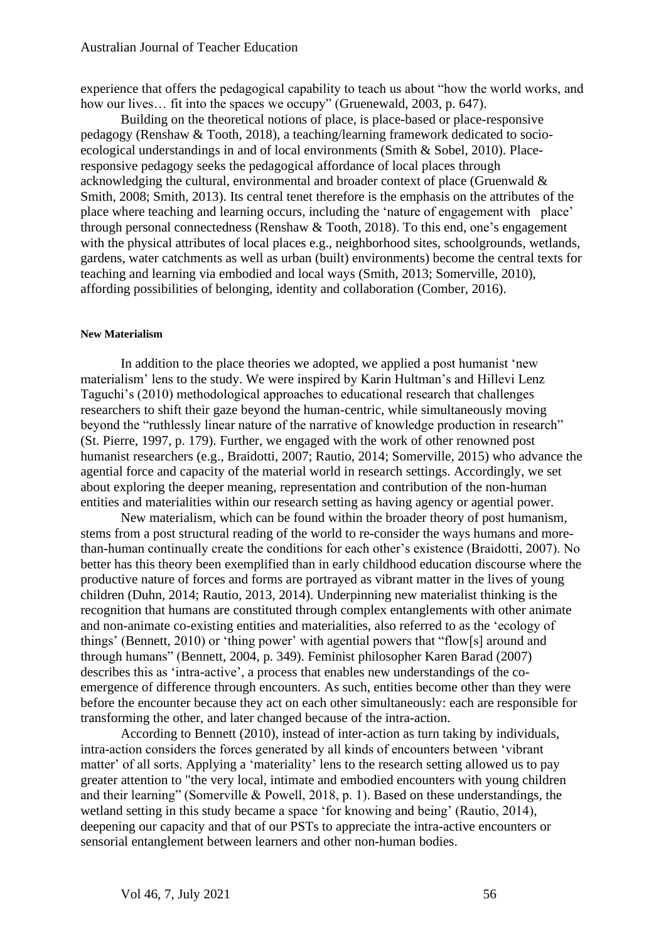experience that offers the pedagogical capability to teach us about "how the world works, and how our lives... fit into the spaces we occupy" (Gruenewald, 2003, p. 647).

Building on the theoretical notions of place, is place-based or place-responsive pedagogy (Renshaw & Tooth, 2018), a teaching/learning framework dedicated to socioecological understandings in and of local environments (Smith & Sobel, 2010). Placeresponsive pedagogy seeks the pedagogical affordance of local places through acknowledging the cultural, environmental and broader context of place (Gruenwald & Smith, 2008; Smith, 2013). Its central tenet therefore is the emphasis on the attributes of the place where teaching and learning occurs, including the 'nature of engagement with place' through personal connectedness (Renshaw & Tooth, 2018). To this end, one's engagement with the physical attributes of local places e.g., neighborhood sites, schoolgrounds, wetlands, gardens, water catchments as well as urban (built) environments) become the central texts for teaching and learning via embodied and local ways (Smith, 2013; Somerville, 2010), affording possibilities of belonging, identity and collaboration (Comber, 2016).

#### **New Materialism**

In addition to the place theories we adopted, we applied a post humanist 'new materialism' lens to the study. We were inspired by Karin Hultman's and Hillevi Lenz Taguchi's (2010) methodological approaches to educational research that challenges researchers to shift their gaze beyond the human-centric, while simultaneously moving beyond the "ruthlessly linear nature of the narrative of knowledge production in research" (St. Pierre, 1997, p. 179). Further, we engaged with the work of other renowned post humanist researchers (e.g., Braidotti, 2007; Rautio, 2014; Somerville, 2015) who advance the agential force and capacity of the material world in research settings. Accordingly, we set about exploring the deeper meaning, representation and contribution of the non-human entities and materialities within our research setting as having agency or agential power.

New materialism, which can be found within the broader theory of post humanism, stems from a post structural reading of the world to re-consider the ways humans and morethan-human continually create the conditions for each other's existence (Braidotti, 2007). No better has this theory been exemplified than in early childhood education discourse where the productive nature of forces and forms are portrayed as vibrant matter in the lives of young children (Duhn, 2014; Rautio, 2013, 2014). Underpinning new materialist thinking is the recognition that humans are constituted through complex entanglements with other animate and non-animate co-existing entities and materialities, also referred to as the 'ecology of things' (Bennett, 2010) or 'thing power' with agential powers that "flow[s] around and through humans" (Bennett, 2004, p. 349). Feminist philosopher Karen Barad (2007) describes this as 'intra-active', a process that enables new understandings of the coemergence of difference through encounters. As such, entities become other than they were before the encounter because they act on each other simultaneously: each are responsible for transforming the other, and later changed because of the intra-action.

According to Bennett (2010), instead of inter-action as turn taking by individuals, intra-action considers the forces generated by all kinds of encounters between 'vibrant matter' of all sorts. Applying a 'materiality' lens to the research setting allowed us to pay greater attention to "the very local, intimate and embodied encounters with young children and their learning" (Somerville & Powell, 2018, p. 1). Based on these understandings, the wetland setting in this study became a space 'for knowing and being' (Rautio, 2014), deepening our capacity and that of our PSTs to appreciate the intra-active encounters or sensorial entanglement between learners and other non-human bodies.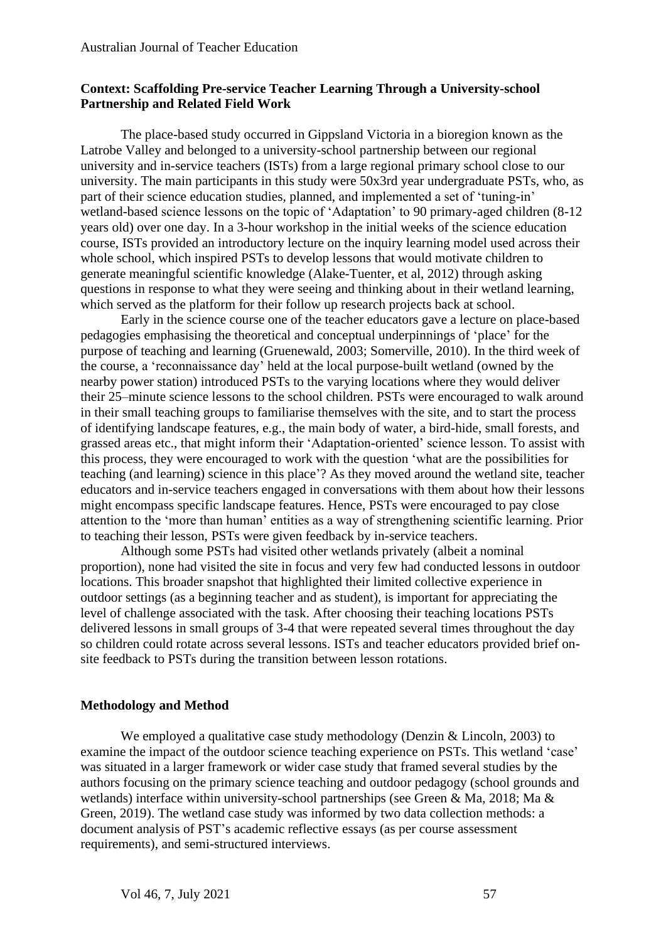## **Context: Scaffolding Pre-service Teacher Learning Through a University-school Partnership and Related Field Work**

The place-based study occurred in Gippsland Victoria in a bioregion known as the Latrobe Valley and belonged to a university-school partnership between our regional university and in-service teachers (ISTs) from a large regional primary school close to our university. The main participants in this study were 50x3rd year undergraduate PSTs, who, as part of their science education studies, planned, and implemented a set of 'tuning-in' wetland-based science lessons on the topic of 'Adaptation' to 90 primary-aged children (8-12 years old) over one day. In a 3-hour workshop in the initial weeks of the science education course, ISTs provided an introductory lecture on the inquiry learning model used across their whole school, which inspired PSTs to develop lessons that would motivate children to generate meaningful scientific knowledge (Alake-Tuenter, et al, 2012) through asking questions in response to what they were seeing and thinking about in their wetland learning, which served as the platform for their follow up research projects back at school.

Early in the science course one of the teacher educators gave a lecture on place-based pedagogies emphasising the theoretical and conceptual underpinnings of 'place' for the purpose of teaching and learning (Gruenewald, 2003; Somerville, 2010). In the third week of the course, a 'reconnaissance day' held at the local purpose-built wetland (owned by the nearby power station) introduced PSTs to the varying locations where they would deliver their 25–minute science lessons to the school children. PSTs were encouraged to walk around in their small teaching groups to familiarise themselves with the site, and to start the process of identifying landscape features, e.g., the main body of water, a bird-hide, small forests, and grassed areas etc., that might inform their 'Adaptation-oriented' science lesson. To assist with this process, they were encouraged to work with the question 'what are the possibilities for teaching (and learning) science in this place'? As they moved around the wetland site, teacher educators and in-service teachers engaged in conversations with them about how their lessons might encompass specific landscape features. Hence, PSTs were encouraged to pay close attention to the 'more than human' entities as a way of strengthening scientific learning. Prior to teaching their lesson, PSTs were given feedback by in-service teachers.

Although some PSTs had visited other wetlands privately (albeit a nominal proportion), none had visited the site in focus and very few had conducted lessons in outdoor locations. This broader snapshot that highlighted their limited collective experience in outdoor settings (as a beginning teacher and as student), is important for appreciating the level of challenge associated with the task. After choosing their teaching locations PSTs delivered lessons in small groups of 3-4 that were repeated several times throughout the day so children could rotate across several lessons. ISTs and teacher educators provided brief onsite feedback to PSTs during the transition between lesson rotations.

### **Methodology and Method**

We employed a qualitative case study methodology (Denzin & Lincoln, 2003) to examine the impact of the outdoor science teaching experience on PSTs. This wetland 'case' was situated in a larger framework or wider case study that framed several studies by the authors focusing on the primary science teaching and outdoor pedagogy (school grounds and wetlands) interface within university-school partnerships (see Green & Ma, 2018; Ma & Green, 2019). The wetland case study was informed by two data collection methods: a document analysis of PST's academic reflective essays (as per course assessment requirements), and semi-structured interviews.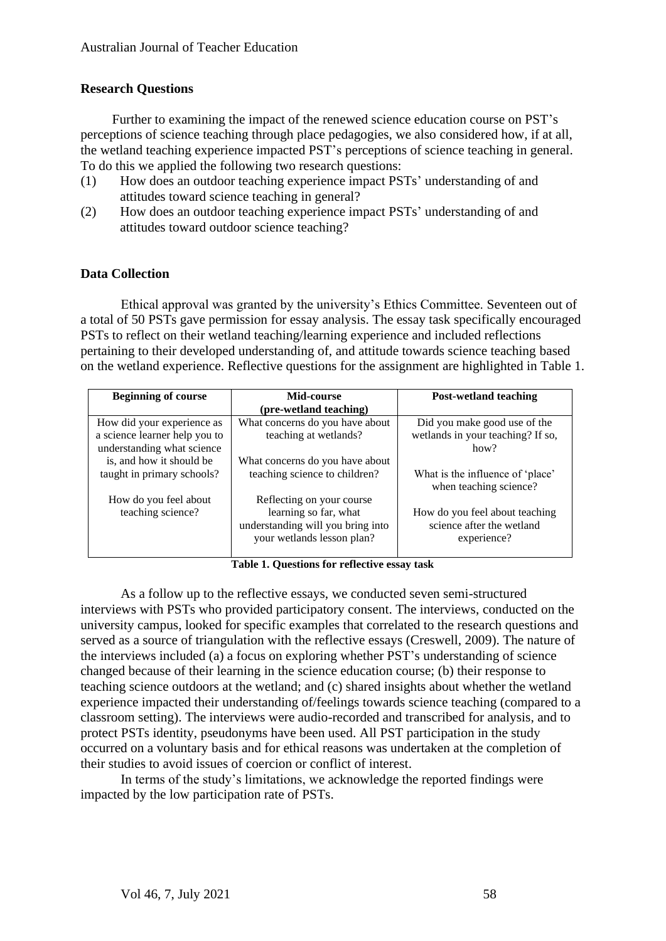## **Research Questions**

Further to examining the impact of the renewed science education course on PST's perceptions of science teaching through place pedagogies, we also considered how, if at all, the wetland teaching experience impacted PST's perceptions of science teaching in general. To do this we applied the following two research questions:

- (1) How does an outdoor teaching experience impact PSTs' understanding of and attitudes toward science teaching in general?
- (2) How does an outdoor teaching experience impact PSTs' understanding of and attitudes toward outdoor science teaching?

## **Data Collection**

Ethical approval was granted by the university's Ethics Committee. Seventeen out of a total of 50 PSTs gave permission for essay analysis. The essay task specifically encouraged PSTs to reflect on their wetland teaching/learning experience and included reflections pertaining to their developed understanding of, and attitude towards science teaching based on the wetland experience. Reflective questions for the assignment are highlighted in Table 1.

| <b>Beginning of course</b>    | Mid-course                        | <b>Post-wetland teaching</b>      |
|-------------------------------|-----------------------------------|-----------------------------------|
|                               | (pre-wetland teaching)            |                                   |
| How did your experience as    | What concerns do you have about   | Did you make good use of the      |
| a science learner help you to | teaching at wetlands?             | wetlands in your teaching? If so, |
| understanding what science    |                                   | how?                              |
| is, and how it should be      | What concerns do you have about   |                                   |
| taught in primary schools?    | teaching science to children?     | What is the influence of 'place'  |
|                               |                                   | when teaching science?            |
| How do you feel about         | Reflecting on your course         |                                   |
| teaching science?             | learning so far, what             | How do you feel about teaching    |
|                               | understanding will you bring into | science after the wetland         |
|                               | your wetlands lesson plan?        | experience?                       |
|                               |                                   |                                   |

**Table 1. Questions for reflective essay task**

As a follow up to the reflective essays, we conducted seven semi-structured interviews with PSTs who provided participatory consent. The interviews, conducted on the university campus, looked for specific examples that correlated to the research questions and served as a source of triangulation with the reflective essays (Creswell, 2009). The nature of the interviews included (a) a focus on exploring whether PST's understanding of science changed because of their learning in the science education course; (b) their response to teaching science outdoors at the wetland; and (c) shared insights about whether the wetland experience impacted their understanding of/feelings towards science teaching (compared to a classroom setting). The interviews were audio-recorded and transcribed for analysis, and to protect PSTs identity, pseudonyms have been used. All PST participation in the study occurred on a voluntary basis and for ethical reasons was undertaken at the completion of their studies to avoid issues of coercion or conflict of interest.

In terms of the study's limitations, we acknowledge the reported findings were impacted by the low participation rate of PSTs.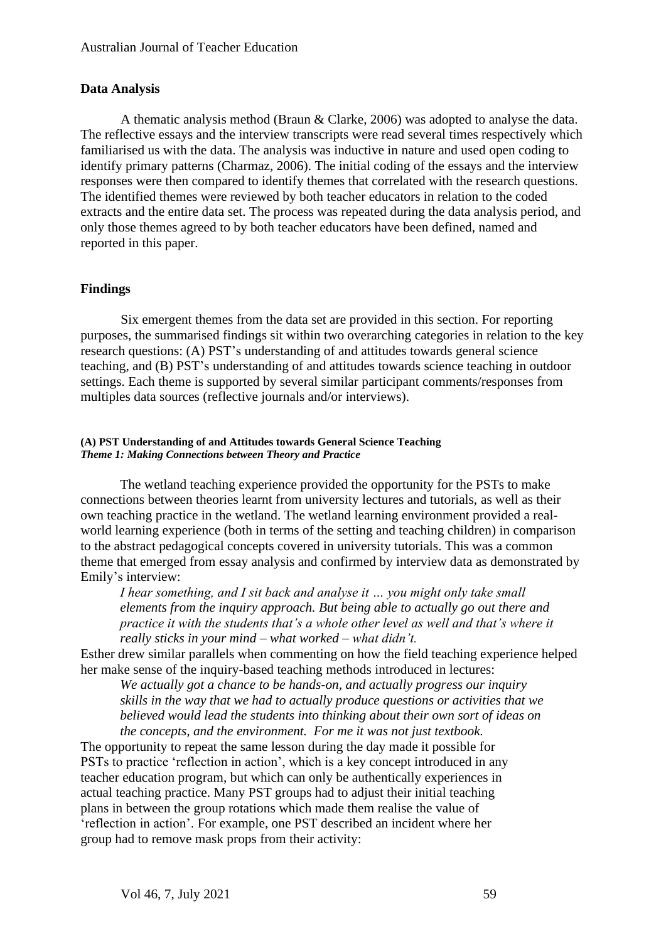## **Data Analysis**

A thematic analysis method (Braun & Clarke, 2006) was adopted to analyse the data. The reflective essays and the interview transcripts were read several times respectively which familiarised us with the data. The analysis was inductive in nature and used open coding to identify primary patterns (Charmaz, 2006). The initial coding of the essays and the interview responses were then compared to identify themes that correlated with the research questions. The identified themes were reviewed by both teacher educators in relation to the coded extracts and the entire data set. The process was repeated during the data analysis period, and only those themes agreed to by both teacher educators have been defined, named and reported in this paper.

### **Findings**

Six emergent themes from the data set are provided in this section. For reporting purposes, the summarised findings sit within two overarching categories in relation to the key research questions: (A) PST's understanding of and attitudes towards general science teaching, and (B) PST's understanding of and attitudes towards science teaching in outdoor settings. Each theme is supported by several similar participant comments/responses from multiples data sources (reflective journals and/or interviews).

#### **(A) PST Understanding of and Attitudes towards General Science Teaching** *Theme 1: Making Connections between Theory and Practice*

The wetland teaching experience provided the opportunity for the PSTs to make connections between theories learnt from university lectures and tutorials, as well as their own teaching practice in the wetland. The wetland learning environment provided a realworld learning experience (both in terms of the setting and teaching children) in comparison to the abstract pedagogical concepts covered in university tutorials. This was a common theme that emerged from essay analysis and confirmed by interview data as demonstrated by Emily's interview:

*I hear something, and I sit back and analyse it … you might only take small elements from the inquiry approach. But being able to actually go out there and practice it with the students that's a whole other level as well and that's where it really sticks in your mind – what worked – what didn't.* 

Esther drew similar parallels when commenting on how the field teaching experience helped her make sense of the inquiry-based teaching methods introduced in lectures:

*We actually got a chance to be hands-on, and actually progress our inquiry skills in the way that we had to actually produce questions or activities that we believed would lead the students into thinking about their own sort of ideas on the concepts, and the environment. For me it was not just textbook.* 

The opportunity to repeat the same lesson during the day made it possible for PSTs to practice 'reflection in action', which is a key concept introduced in any teacher education program, but which can only be authentically experiences in actual teaching practice. Many PST groups had to adjust their initial teaching plans in between the group rotations which made them realise the value of 'reflection in action'. For example, one PST described an incident where her group had to remove mask props from their activity: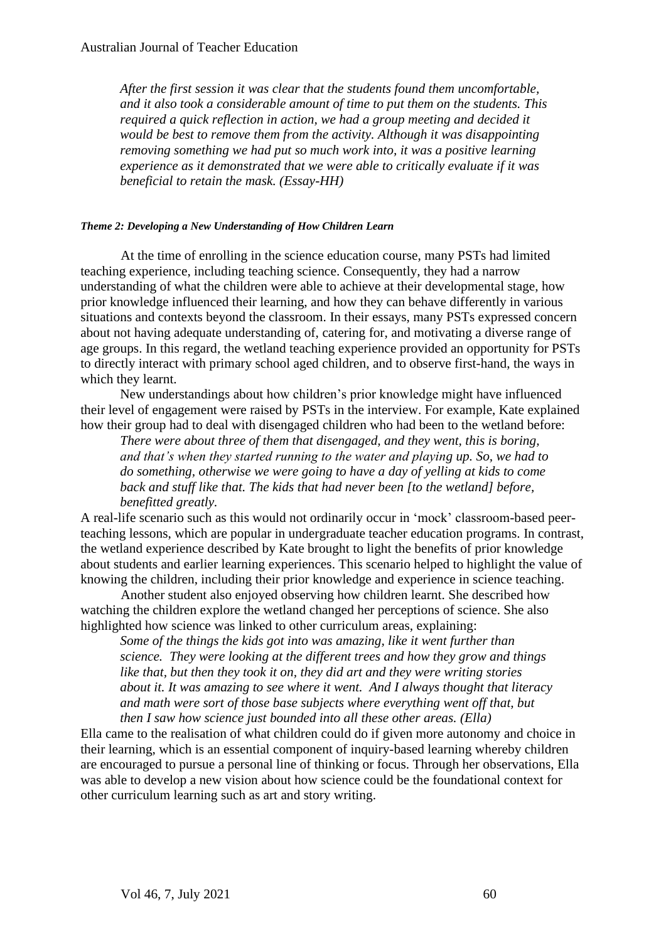*After the first session it was clear that the students found them uncomfortable, and it also took a considerable amount of time to put them on the students. This required a quick reflection in action, we had a group meeting and decided it would be best to remove them from the activity. Although it was disappointing removing something we had put so much work into, it was a positive learning experience as it demonstrated that we were able to critically evaluate if it was beneficial to retain the mask. (Essay-HH)*

#### *Theme 2: Developing a New Understanding of How Children Learn*

At the time of enrolling in the science education course, many PSTs had limited teaching experience, including teaching science. Consequently, they had a narrow understanding of what the children were able to achieve at their developmental stage, how prior knowledge influenced their learning, and how they can behave differently in various situations and contexts beyond the classroom. In their essays, many PSTs expressed concern about not having adequate understanding of, catering for, and motivating a diverse range of age groups. In this regard, the wetland teaching experience provided an opportunity for PSTs to directly interact with primary school aged children, and to observe first-hand, the ways in which they learnt.

New understandings about how children's prior knowledge might have influenced their level of engagement were raised by PSTs in the interview. For example, Kate explained how their group had to deal with disengaged children who had been to the wetland before:

*There were about three of them that disengaged, and they went, this is boring, and that's when they started running to the water and playing up. So, we had to do something, otherwise we were going to have a day of yelling at kids to come back and stuff like that. The kids that had never been [to the wetland] before, benefitted greatly.* 

A real-life scenario such as this would not ordinarily occur in 'mock' classroom-based peerteaching lessons, which are popular in undergraduate teacher education programs. In contrast, the wetland experience described by Kate brought to light the benefits of prior knowledge about students and earlier learning experiences. This scenario helped to highlight the value of knowing the children, including their prior knowledge and experience in science teaching.

Another student also enjoyed observing how children learnt. She described how watching the children explore the wetland changed her perceptions of science. She also highlighted how science was linked to other curriculum areas, explaining:

*Some of the things the kids got into was amazing, like it went further than science. They were looking at the different trees and how they grow and things like that, but then they took it on, they did art and they were writing stories about it. It was amazing to see where it went. And I always thought that literacy and math were sort of those base subjects where everything went off that, but then I saw how science just bounded into all these other areas. (Ella)*

Ella came to the realisation of what children could do if given more autonomy and choice in their learning, which is an essential component of inquiry-based learning whereby children are encouraged to pursue a personal line of thinking or focus. Through her observations, Ella was able to develop a new vision about how science could be the foundational context for other curriculum learning such as art and story writing.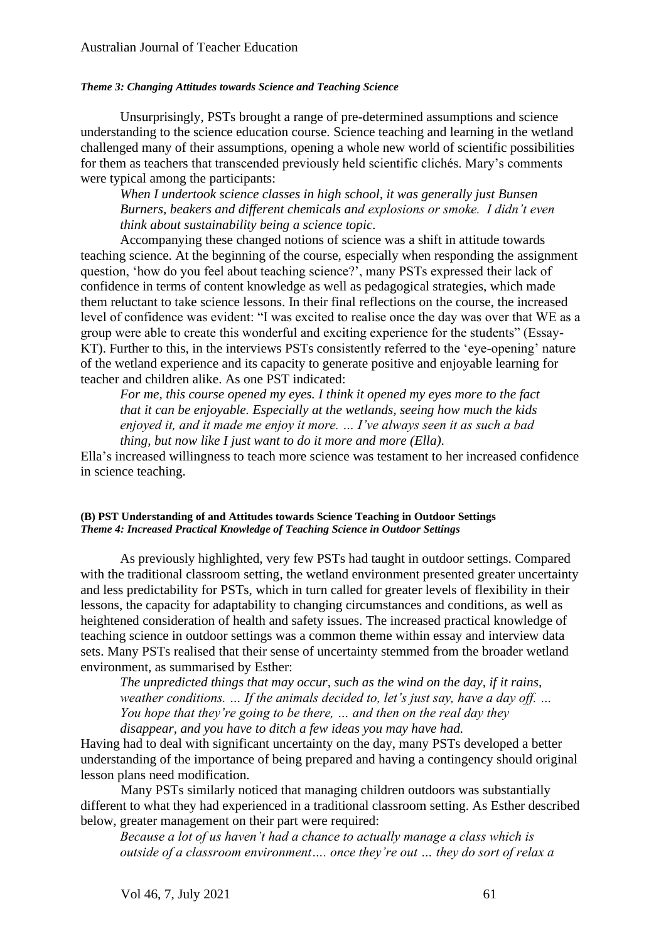#### *Theme 3: Changing Attitudes towards Science and Teaching Science*

Unsurprisingly, PSTs brought a range of pre-determined assumptions and science understanding to the science education course. Science teaching and learning in the wetland challenged many of their assumptions, opening a whole new world of scientific possibilities for them as teachers that transcended previously held scientific clichés. Mary's comments were typical among the participants:

*When I undertook science classes in high school, it was generally just Bunsen Burners, beakers and different chemicals and explosions or smoke. I didn't even think about sustainability being a science topic.* 

Accompanying these changed notions of science was a shift in attitude towards teaching science. At the beginning of the course, especially when responding the assignment question, 'how do you feel about teaching science?', many PSTs expressed their lack of confidence in terms of content knowledge as well as pedagogical strategies, which made them reluctant to take science lessons. In their final reflections on the course, the increased level of confidence was evident: "I was excited to realise once the day was over that WE as a group were able to create this wonderful and exciting experience for the students" (Essay-KT). Further to this, in the interviews PSTs consistently referred to the 'eye-opening' nature of the wetland experience and its capacity to generate positive and enjoyable learning for teacher and children alike. As one PST indicated:

*For me, this course opened my eyes. I think it opened my eyes more to the fact that it can be enjoyable. Especially at the wetlands, seeing how much the kids enjoyed it, and it made me enjoy it more. … I've always seen it as such a bad thing, but now like I just want to do it more and more (Ella).*

Ella's increased willingness to teach more science was testament to her increased confidence in science teaching.

#### **(B) PST Understanding of and Attitudes towards Science Teaching in Outdoor Settings** *Theme 4: Increased Practical Knowledge of Teaching Science in Outdoor Settings*

As previously highlighted, very few PSTs had taught in outdoor settings. Compared with the traditional classroom setting, the wetland environment presented greater uncertainty and less predictability for PSTs, which in turn called for greater levels of flexibility in their lessons, the capacity for adaptability to changing circumstances and conditions, as well as heightened consideration of health and safety issues. The increased practical knowledge of teaching science in outdoor settings was a common theme within essay and interview data sets. Many PSTs realised that their sense of uncertainty stemmed from the broader wetland environment, as summarised by Esther:

*The unpredicted things that may occur, such as the wind on the day, if it rains, weather conditions. … If the animals decided to, let's just say, have a day off. … You hope that they're going to be there, … and then on the real day they disappear, and you have to ditch a few ideas you may have had.* 

Having had to deal with significant uncertainty on the day, many PSTs developed a better understanding of the importance of being prepared and having a contingency should original lesson plans need modification.

Many PSTs similarly noticed that managing children outdoors was substantially different to what they had experienced in a traditional classroom setting. As Esther described below, greater management on their part were required:

*Because a lot of us haven't had a chance to actually manage a class which is outside of a classroom environment…. once they're out … they do sort of relax a*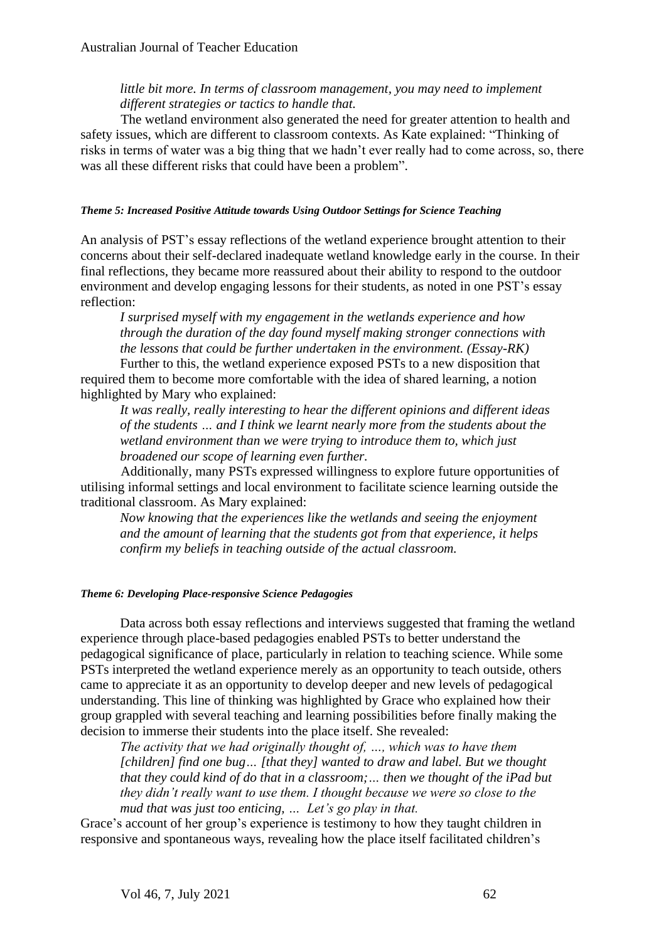## *little bit more. In terms of classroom management, you may need to implement different strategies or tactics to handle that.*

The wetland environment also generated the need for greater attention to health and safety issues, which are different to classroom contexts. As Kate explained: "Thinking of risks in terms of water was a big thing that we hadn't ever really had to come across, so, there was all these different risks that could have been a problem".

#### *Theme 5: Increased Positive Attitude towards Using Outdoor Settings for Science Teaching*

An analysis of PST's essay reflections of the wetland experience brought attention to their concerns about their self-declared inadequate wetland knowledge early in the course. In their final reflections, they became more reassured about their ability to respond to the outdoor environment and develop engaging lessons for their students, as noted in one PST's essay reflection:

*I surprised myself with my engagement in the wetlands experience and how through the duration of the day found myself making stronger connections with the lessons that could be further undertaken in the environment. (Essay-RK)* Further to this, the wetland experience exposed PSTs to a new disposition that

required them to become more comfortable with the idea of shared learning, a notion highlighted by Mary who explained:

*It was really, really interesting to hear the different opinions and different ideas of the students … and I think we learnt nearly more from the students about the wetland environment than we were trying to introduce them to, which just broadened our scope of learning even further.* 

Additionally, many PSTs expressed willingness to explore future opportunities of utilising informal settings and local environment to facilitate science learning outside the traditional classroom. As Mary explained:

*Now knowing that the experiences like the wetlands and seeing the enjoyment and the amount of learning that the students got from that experience, it helps confirm my beliefs in teaching outside of the actual classroom.* 

## *Theme 6: Developing Place-responsive Science Pedagogies*

Data across both essay reflections and interviews suggested that framing the wetland experience through place-based pedagogies enabled PSTs to better understand the pedagogical significance of place, particularly in relation to teaching science. While some PSTs interpreted the wetland experience merely as an opportunity to teach outside, others came to appreciate it as an opportunity to develop deeper and new levels of pedagogical understanding. This line of thinking was highlighted by Grace who explained how their group grappled with several teaching and learning possibilities before finally making the decision to immerse their students into the place itself. She revealed:

*The activity that we had originally thought of, …, which was to have them [children] find one bug… [that they] wanted to draw and label. But we thought that they could kind of do that in a classroom;… then we thought of the iPad but they didn't really want to use them. I thought because we were so close to the mud that was just too enticing, … Let's go play in that.* 

Grace's account of her group's experience is testimony to how they taught children in responsive and spontaneous ways, revealing how the place itself facilitated children's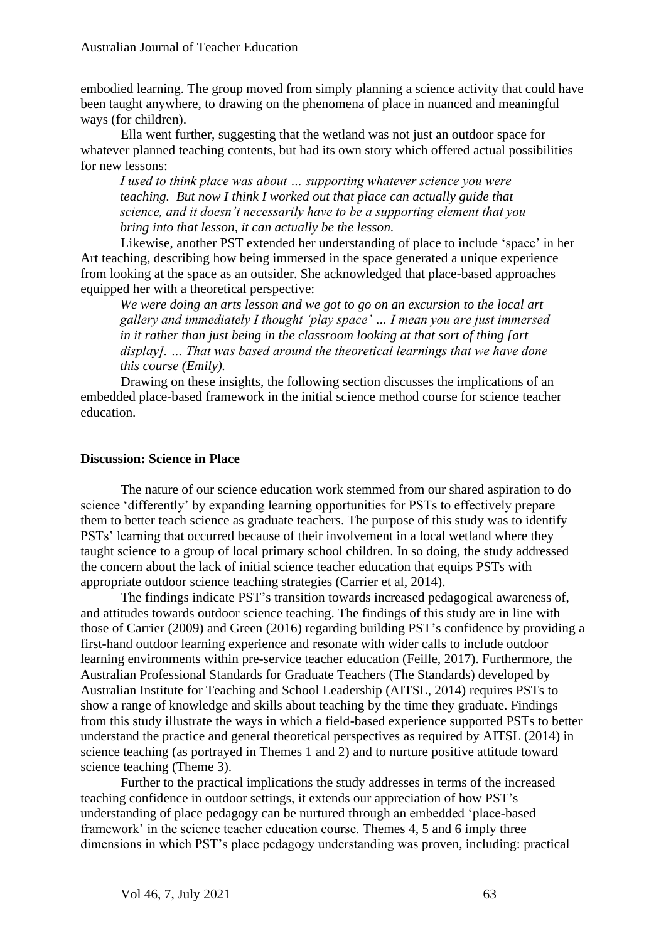embodied learning. The group moved from simply planning a science activity that could have been taught anywhere, to drawing on the phenomena of place in nuanced and meaningful ways (for children).

Ella went further, suggesting that the wetland was not just an outdoor space for whatever planned teaching contents, but had its own story which offered actual possibilities for new lessons:

*I used to think place was about … supporting whatever science you were teaching. But now I think I worked out that place can actually guide that science, and it doesn't necessarily have to be a supporting element that you bring into that lesson, it can actually be the lesson.* 

Likewise, another PST extended her understanding of place to include 'space' in her Art teaching, describing how being immersed in the space generated a unique experience from looking at the space as an outsider. She acknowledged that place-based approaches equipped her with a theoretical perspective:

*We were doing an arts lesson and we got to go on an excursion to the local art gallery and immediately I thought 'play space' … I mean you are just immersed in it rather than just being in the classroom looking at that sort of thing [art display]. … That was based around the theoretical learnings that we have done this course (Emily).* 

Drawing on these insights, the following section discusses the implications of an embedded place-based framework in the initial science method course for science teacher education.

### **Discussion: Science in Place**

The nature of our science education work stemmed from our shared aspiration to do science 'differently' by expanding learning opportunities for PSTs to effectively prepare them to better teach science as graduate teachers. The purpose of this study was to identify PSTs' learning that occurred because of their involvement in a local wetland where they taught science to a group of local primary school children. In so doing, the study addressed the concern about the lack of initial science teacher education that equips PSTs with appropriate outdoor science teaching strategies (Carrier et al, 2014).

The findings indicate PST's transition towards increased pedagogical awareness of, and attitudes towards outdoor science teaching. The findings of this study are in line with those of Carrier (2009) and Green (2016) regarding building PST's confidence by providing a first-hand outdoor learning experience and resonate with wider calls to include outdoor learning environments within pre-service teacher education (Feille, 2017). Furthermore, the Australian Professional Standards for Graduate Teachers (The Standards) developed by Australian Institute for Teaching and School Leadership (AITSL, 2014) requires PSTs to show a range of knowledge and skills about teaching by the time they graduate. Findings from this study illustrate the ways in which a field-based experience supported PSTs to better understand the practice and general theoretical perspectives as required by AITSL (2014) in science teaching (as portrayed in Themes 1 and 2) and to nurture positive attitude toward science teaching (Theme 3).

Further to the practical implications the study addresses in terms of the increased teaching confidence in outdoor settings, it extends our appreciation of how PST's understanding of place pedagogy can be nurtured through an embedded 'place-based framework' in the science teacher education course. Themes 4, 5 and 6 imply three dimensions in which PST's place pedagogy understanding was proven, including: practical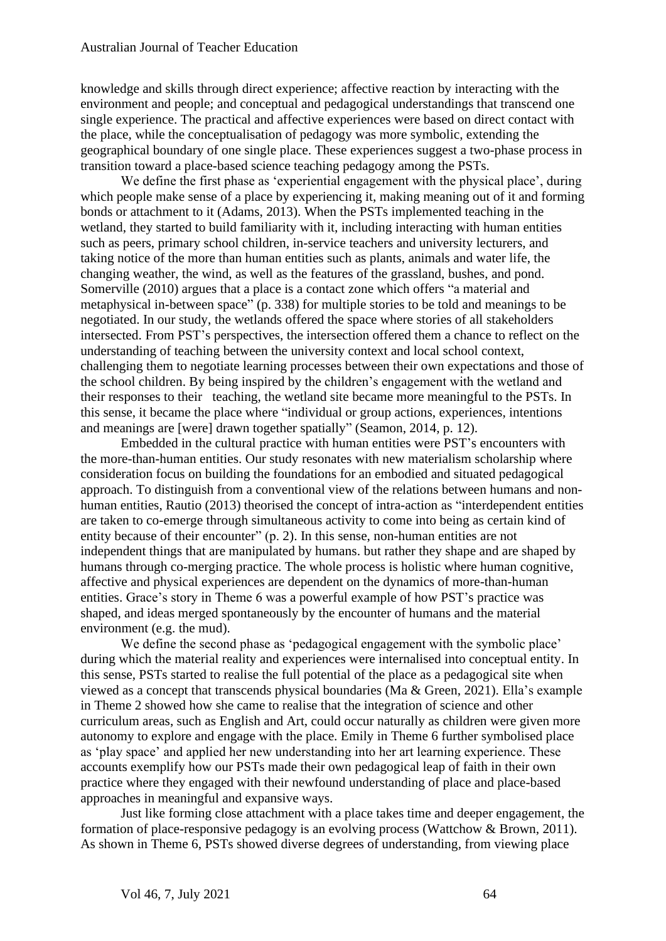knowledge and skills through direct experience; affective reaction by interacting with the environment and people; and conceptual and pedagogical understandings that transcend one single experience. The practical and affective experiences were based on direct contact with the place, while the conceptualisation of pedagogy was more symbolic, extending the geographical boundary of one single place. These experiences suggest a two-phase process in transition toward a place-based science teaching pedagogy among the PSTs.

We define the first phase as 'experiential engagement with the physical place', during which people make sense of a place by experiencing it, making meaning out of it and forming bonds or attachment to it (Adams, 2013). When the PSTs implemented teaching in the wetland, they started to build familiarity with it, including interacting with human entities such as peers, primary school children, in-service teachers and university lecturers, and taking notice of the more than human entities such as plants, animals and water life, the changing weather, the wind, as well as the features of the grassland, bushes, and pond. Somerville (2010) argues that a place is a contact zone which offers "a material and metaphysical in-between space" (p. 338) for multiple stories to be told and meanings to be negotiated. In our study, the wetlands offered the space where stories of all stakeholders intersected. From PST's perspectives, the intersection offered them a chance to reflect on the understanding of teaching between the university context and local school context, challenging them to negotiate learning processes between their own expectations and those of the school children. By being inspired by the children's engagement with the wetland and their responses to their teaching, the wetland site became more meaningful to the PSTs. In this sense, it became the place where "individual or group actions, experiences, intentions and meanings are [were] drawn together spatially" (Seamon, 2014, p. 12).

Embedded in the cultural practice with human entities were PST's encounters with the more-than-human entities. Our study resonates with new materialism scholarship where consideration focus on building the foundations for an embodied and situated pedagogical approach. To distinguish from a conventional view of the relations between humans and nonhuman entities, Rautio (2013) theorised the concept of intra-action as "interdependent entities are taken to co-emerge through simultaneous activity to come into being as certain kind of entity because of their encounter" (p. 2). In this sense, non-human entities are not independent things that are manipulated by humans. but rather they shape and are shaped by humans through co-merging practice. The whole process is holistic where human cognitive, affective and physical experiences are dependent on the dynamics of more-than-human entities. Grace's story in Theme 6 was a powerful example of how PST's practice was shaped, and ideas merged spontaneously by the encounter of humans and the material environment (e.g. the mud).

We define the second phase as 'pedagogical engagement with the symbolic place' during which the material reality and experiences were internalised into conceptual entity. In this sense, PSTs started to realise the full potential of the place as a pedagogical site when viewed as a concept that transcends physical boundaries (Ma & Green, 2021). Ella's example in Theme 2 showed how she came to realise that the integration of science and other curriculum areas, such as English and Art, could occur naturally as children were given more autonomy to explore and engage with the place. Emily in Theme 6 further symbolised place as 'play space' and applied her new understanding into her art learning experience. These accounts exemplify how our PSTs made their own pedagogical leap of faith in their own practice where they engaged with their newfound understanding of place and place-based approaches in meaningful and expansive ways.

Just like forming close attachment with a place takes time and deeper engagement, the formation of place-responsive pedagogy is an evolving process (Wattchow & Brown, 2011). As shown in Theme 6, PSTs showed diverse degrees of understanding, from viewing place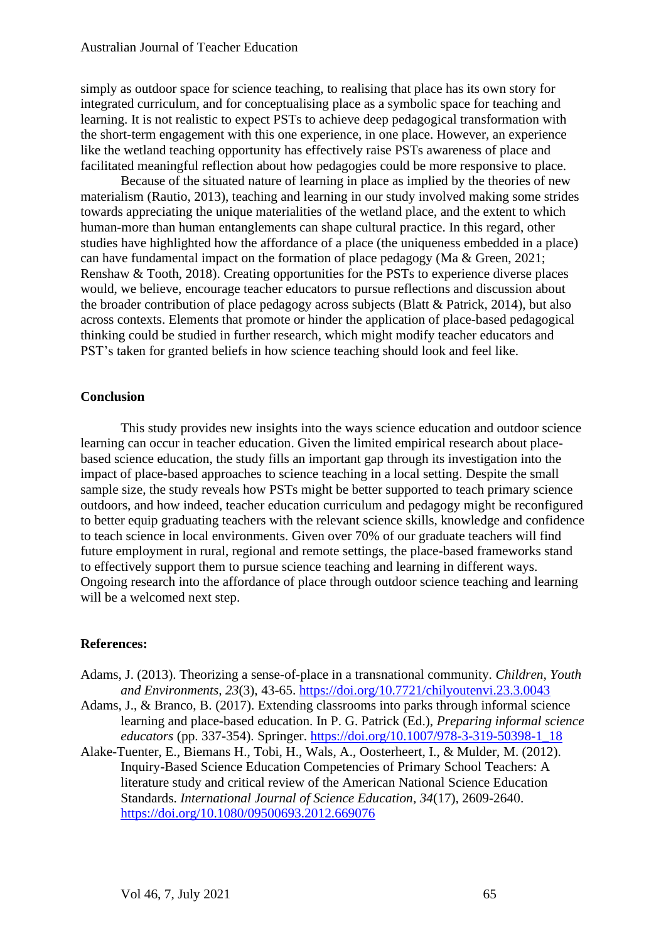simply as outdoor space for science teaching, to realising that place has its own story for integrated curriculum, and for conceptualising place as a symbolic space for teaching and learning. It is not realistic to expect PSTs to achieve deep pedagogical transformation with the short-term engagement with this one experience, in one place. However, an experience like the wetland teaching opportunity has effectively raise PSTs awareness of place and facilitated meaningful reflection about how pedagogies could be more responsive to place.

Because of the situated nature of learning in place as implied by the theories of new materialism (Rautio, 2013), teaching and learning in our study involved making some strides towards appreciating the unique materialities of the wetland place, and the extent to which human-more than human entanglements can shape cultural practice. In this regard, other studies have highlighted how the affordance of a place (the uniqueness embedded in a place) can have fundamental impact on the formation of place pedagogy (Ma & Green, 2021; Renshaw & Tooth, 2018). Creating opportunities for the PSTs to experience diverse places would, we believe, encourage teacher educators to pursue reflections and discussion about the broader contribution of place pedagogy across subjects (Blatt & Patrick, 2014), but also across contexts. Elements that promote or hinder the application of place-based pedagogical thinking could be studied in further research, which might modify teacher educators and PST's taken for granted beliefs in how science teaching should look and feel like.

### **Conclusion**

This study provides new insights into the ways science education and outdoor science learning can occur in teacher education. Given the limited empirical research about placebased science education, the study fills an important gap through its investigation into the impact of place-based approaches to science teaching in a local setting. Despite the small sample size, the study reveals how PSTs might be better supported to teach primary science outdoors, and how indeed, teacher education curriculum and pedagogy might be reconfigured to better equip graduating teachers with the relevant science skills, knowledge and confidence to teach science in local environments. Given over 70% of our graduate teachers will find future employment in rural, regional and remote settings, the place-based frameworks stand to effectively support them to pursue science teaching and learning in different ways. Ongoing research into the affordance of place through outdoor science teaching and learning will be a welcomed next step.

## **References:**

- Adams, J. (2013). Theorizing a sense-of-place in a transnational community. *Children, Youth and Environments, 23*(3), 43-65. <https://doi.org/10.7721/chilyoutenvi.23.3.0043>
- Adams, J., & Branco, B. (2017). Extending classrooms into parks through informal science learning and place-based education. In P. G. Patrick (Ed.), *Preparing informal science educators* (pp. 337-354). Springer. [https://doi.org/10.1007/978-3-319-50398-1\\_18](https://doi.org/10.1007/978-3-319-50398-1_18)
- Alake-Tuenter, E., Biemans H., Tobi, H., Wals, A., Oosterheert, I., & Mulder, M. (2012). Inquiry-Based Science Education Competencies of Primary School Teachers: A literature study and critical review of the American National Science Education Standards. *International Journal of Science Education, 34*(17), 2609-2640. <https://doi.org/10.1080/09500693.2012.669076>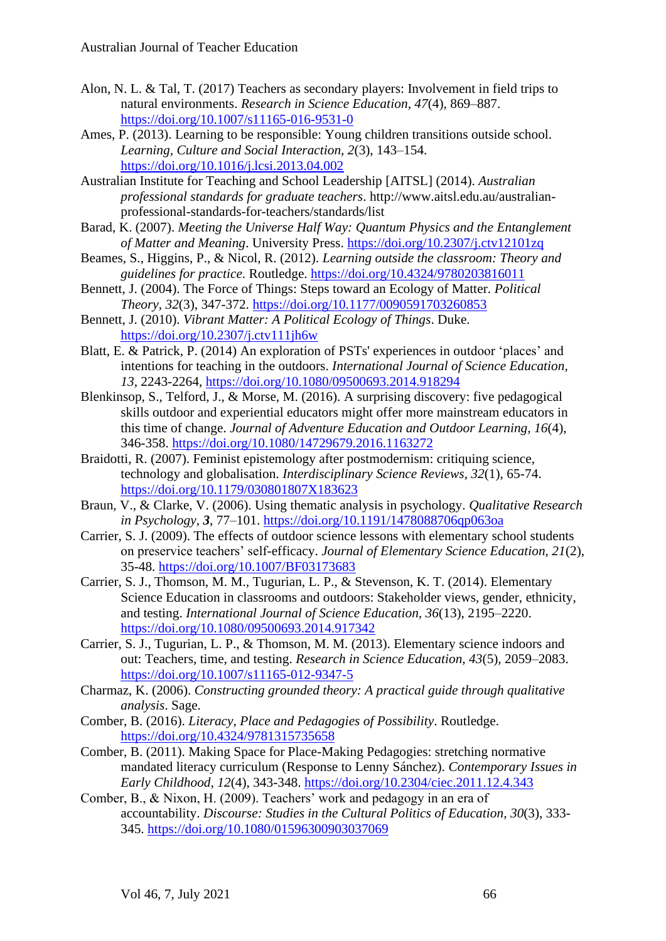- Alon, N. L. & Tal, T. (2017) Teachers as secondary players: Involvement in field trips to natural environments. *Research in Science Education, 47*(4), 869–887. <https://doi.org/10.1007/s11165-016-9531-0>
- Ames, P. (2013). Learning to be responsible: Young children transitions outside school. *Learning, Culture and Social Interaction, 2*(3), 143–154. <https://doi.org/10.1016/j.lcsi.2013.04.002>
- Australian Institute for Teaching and School Leadership [AITSL] (2014). *Australian professional standards for graduate teachers*. http://www.aitsl.edu.au/australianprofessional-standards-for-teachers/standards/list
- Barad, K. (2007). *Meeting the Universe Half Way: Quantum Physics and the Entanglement of Matter and Meaning*. University Press.<https://doi.org/10.2307/j.ctv12101zq>
- Beames, S., Higgins, P., & Nicol, R. (2012). *Learning outside the classroom: Theory and guidelines for practice*. Routledge. <https://doi.org/10.4324/9780203816011>
- Bennett, J. (2004). The Force of Things: Steps toward an Ecology of Matter. *Political Theory, 32*(3), 347-372.<https://doi.org/10.1177/0090591703260853>
- Bennett, J. (2010). *Vibrant Matter: A Political Ecology of Things*. Duke. <https://doi.org/10.2307/j.ctv111jh6w>
- Blatt, E. & Patrick, P. (2014) An exploration of PSTs' experiences in outdoor 'places' and intentions for teaching in the outdoors. *International Journal of Science Education, 13*, 2243-2264,<https://doi.org/10.1080/09500693.2014.918294>
- Blenkinsop, S., Telford, J., & Morse, M. (2016). A surprising discovery: five pedagogical skills outdoor and experiential educators might offer more mainstream educators in this time of change. *Journal of Adventure Education and Outdoor Learning, 16*(4), 346-358. <https://doi.org/10.1080/14729679.2016.1163272>
- Braidotti, R. (2007). Feminist epistemology after postmodernism: critiquing science, technology and globalisation. *Interdisciplinary Science Reviews, 32*(1), 65-74. <https://doi.org/10.1179/030801807X183623>
- Braun, V., & Clarke, V. (2006). Using thematic analysis in psychology. *Qualitative Research in Psychology, 3*, 77–101.<https://doi.org/10.1191/1478088706qp063oa>
- Carrier, S. J. (2009). The effects of outdoor science lessons with elementary school students on preservice teachers' self-efficacy. *Journal of Elementary Science Education, 21*(2), 35-48. <https://doi.org/10.1007/BF03173683>
- Carrier, S. J., Thomson, M. M., Tugurian, L. P., & Stevenson, K. T. (2014). Elementary Science Education in classrooms and outdoors: Stakeholder views, gender, ethnicity, and testing. *International Journal of Science Education, 36*(13), 2195–2220. <https://doi.org/10.1080/09500693.2014.917342>
- Carrier, S. J., Tugurian, L. P., & Thomson, M. M. (2013). Elementary science indoors and out: Teachers, time, and testing. *Research in Science Education, 43*(5), 2059–2083. <https://doi.org/10.1007/s11165-012-9347-5>
- Charmaz, K. (2006). *Constructing grounded theory: A practical guide through qualitative analysis*. Sage.
- Comber, B. (2016). *Literacy, Place and Pedagogies of Possibility*. Routledge. <https://doi.org/10.4324/9781315735658>
- Comber, B. (2011). Making Space for Place-Making Pedagogies: stretching normative mandated literacy curriculum (Response to Lenny Sánchez). *Contemporary Issues in Early Childhood, 12*(4), 343-348. <https://doi.org/10.2304/ciec.2011.12.4.343>
- Comber, B., & Nixon, H. (2009). Teachers' work and pedagogy in an era of accountability. *Discourse: Studies in the Cultural Politics of Education, 30*(3), 333- 345. <https://doi.org/10.1080/01596300903037069>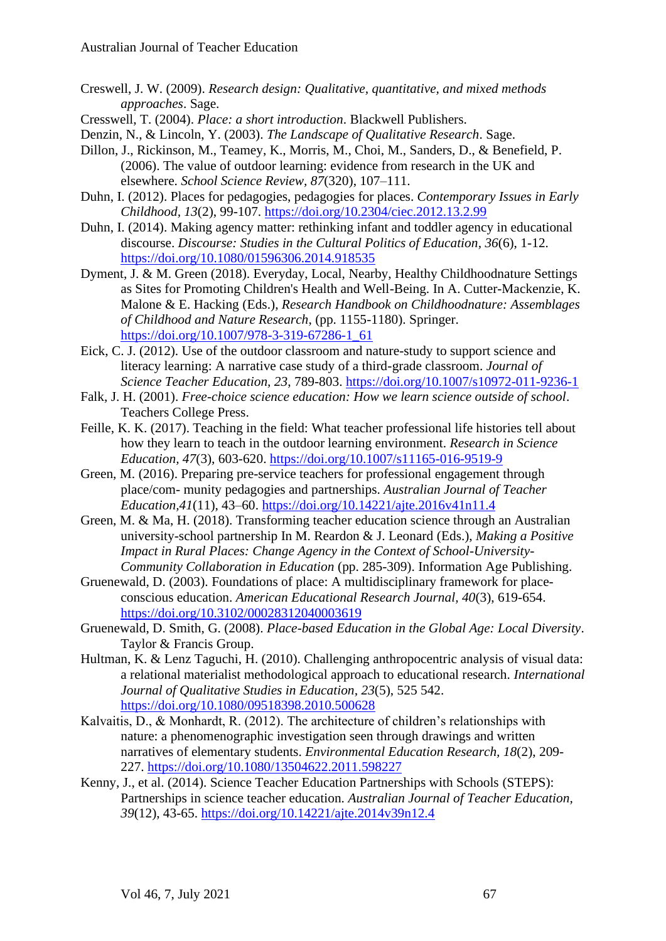- Creswell, J. W. (2009). *Research design: Qualitative, quantitative, and mixed methods approaches*. Sage.
- Cresswell, T. (2004). *Place: a short introduction*. Blackwell Publishers.
- Denzin, N., & Lincoln, Y. (2003). *The Landscape of Qualitative Research*. Sage.
- Dillon, J., Rickinson, M., Teamey, K., Morris, M., Choi, M., Sanders, D., & Benefield, P. (2006). The value of outdoor learning: evidence from research in the UK and elsewhere. *School Science Review, 87*(320), 107–111.
- Duhn, I. (2012). Places for pedagogies, pedagogies for places. *Contemporary Issues in Early Childhood, 13*(2), 99-107. https://doi.org/10.2304/ciec.2012.13.2.99
- Duhn, I. (2014). Making agency matter: rethinking infant and toddler agency in educational discourse. *Discourse: Studies in the Cultural Politics of Education, 36*(6), 1-12. https://doi.org/10.1080/01596306.2014.918535
- Dyment, J. & M. Green (2018). Everyday, Local, Nearby, Healthy Childhoodnature Settings as Sites for Promoting Children's Health and Well-Being. In A. Cutter-Mackenzie, K. Malone & E. Hacking (Eds.), *Research Handbook on Childhoodnature: Assemblages of Childhood and Nature Research*, (pp. 1155-1180). Springer. https://doi.org/10.1007/978-3-319-67286-1\_61
- Eick, C. J. (2012). Use of the outdoor classroom and nature-study to support science and literacy learning: A narrative case study of a third-grade classroom. *Journal of Science Teacher Education, 23*, 789-803. https://doi.org/10.1007/s10972-011-9236-1
- Falk, J. H. (2001). *Free-choice science education: How we learn science outside of school*. Teachers College Press.
- Feille, K. K. (2017). Teaching in the field: What teacher professional life histories tell about how they learn to teach in the outdoor learning environment. *Research in Science Education, 47*(3), 603-620. https://doi.org/10.1007/s11165-016-9519-9
- Green, M. (2016). Preparing pre-service teachers for professional engagement through place/com- munity pedagogies and partnerships. *Australian Journal of Teacher Education,41*(11), 43–60. https://doi.org/10.14221/ajte.2016v41n11.4
- Green, M. & Ma, H. (2018). Transforming teacher education science through an Australian university-school partnership In M. Reardon & J. Leonard (Eds.), *Making a Positive Impact in Rural Places: Change Agency in the Context of School-University-Community Collaboration in Education* (pp. 285-309). Information Age Publishing.
- Gruenewald, D. (2003). Foundations of place: A multidisciplinary framework for placeconscious education. *American Educational Research Journal, 40*(3), 619-654. https://doi.org/10.3102/00028312040003619
- Gruenewald, D. Smith, G. (2008). *Place-based Education in the Global Age: Local Diversity*. Taylor & Francis Group.
- Hultman, K. & Lenz Taguchi, H. (2010). Challenging anthropocentric analysis of visual data: a relational materialist methodological approach to educational research. *International Journal of Qualitative Studies in Education, 23*(5), 525 542. https://doi.org/10.1080/09518398.2010.500628
- Kalvaitis, D., & Monhardt, R. (2012). The architecture of children's relationships with nature: a phenomenographic investigation seen through drawings and written narratives of elementary students. *Environmental Education Research, 18*(2), 209- 227. https://doi.org/10.1080/13504622.2011.598227
- Kenny, J., et al. (2014). Science Teacher Education Partnerships with Schools (STEPS): Partnerships in science teacher education. *Australian Journal of Teacher Education, 39*(12), 43-65. https://doi.org/10.14221/ajte.2014v39n12.4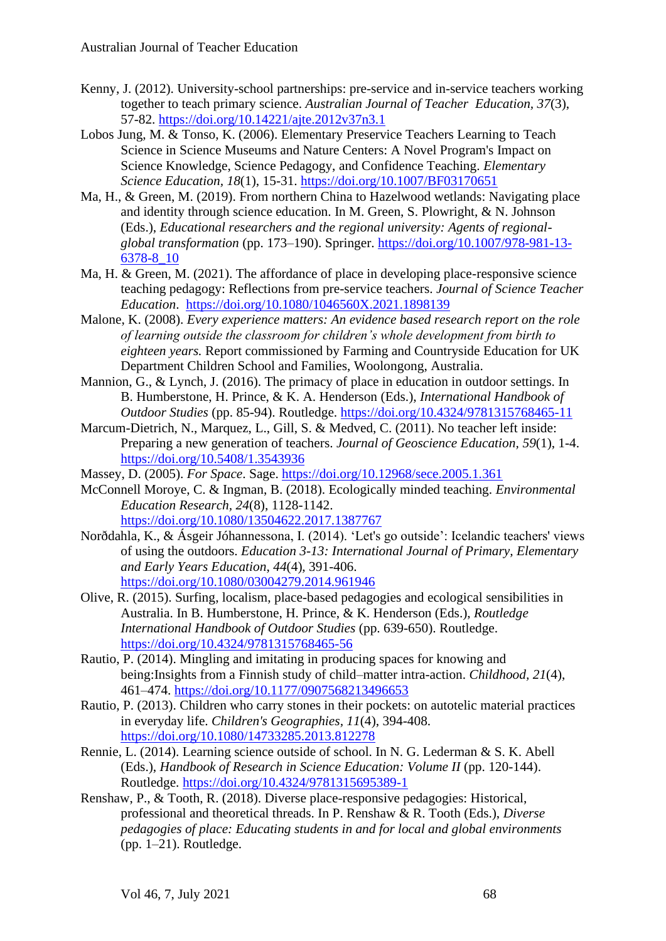- Kenny, J. (2012). University-school partnerships: pre-service and in-service teachers working together to teach primary science. *Australian Journal of Teacher Education, 37*(3), 57-82. https://doi.org/10.14221/ajte.2012v37n3.1
- Lobos Jung, M. & Tonso, K. (2006). Elementary Preservice Teachers Learning to Teach Science in Science Museums and Nature Centers: A Novel Program's Impact on Science Knowledge, Science Pedagogy, and Confidence Teaching. *Elementary Science Education, 18*(1), 15-31. https://doi.org/10.1007/BF03170651
- Ma, H., & Green, M. (2019). From northern China to Hazelwood wetlands: Navigating place and identity through science education. In M. Green, S. Plowright, & N. Johnson (Eds.), *Educational researchers and the regional university: Agents of regionalglobal transformation* (pp. 173–190). Springer. https://doi.org/10.1007/978-981-13- 6378-8\_10
- Ma, H. & Green, M. (2021). The affordance of place in developing place-responsive science teaching pedagogy: Reflections from pre-service teachers. *Journal of Science Teacher Education*. https://doi.org/10.1080/1046560X.2021.1898139
- Malone, K. (2008). *Every experience matters: An evidence based research report on the role of learning outside the classroom for children's whole development from birth to eighteen years.* Report commissioned by Farming and Countryside Education for UK Department Children School and Families, Woolongong, Australia.
- Mannion, G., & Lynch, J. (2016). The primacy of place in education in outdoor settings. In B. Humberstone, H. Prince, & K. A. Henderson (Eds.), *International Handbook of Outdoor Studies* (pp. 85-94). Routledge. https://doi.org/10.4324/9781315768465-11
- Marcum-Dietrich, N., Marquez, L., Gill, S. & Medved, C. (2011). No teacher left inside: Preparing a new generation of teachers. *Journal of Geoscience Education, 59*(1), 1-4. https://doi.org/10.5408/1.3543936
- Massey, D. (2005). *For Space*. Sage. https://doi.org/10.12968/sece.2005.1.361
- McConnell Moroye, C. & Ingman, B. (2018). Ecologically minded teaching. *Environmental Education Research, 24*(8), 1128-1142. https://doi.org/10.1080/13504622.2017.1387767
- Norðdahla, K., & Ásgeir Jóhannessona, I. (2014). 'Let's go outside': Icelandic teachers' views of using the outdoors. *Education 3-13: International Journal of Primary, Elementary and Early Years Education*, *44*(4), 391-406. https://doi.org/10.1080/03004279.2014.961946
- Olive, R. (2015). Surfing, localism, place-based pedagogies and ecological sensibilities in Australia. In B. Humberstone, H. Prince, & K. Henderson (Eds.), *Routledge International Handbook of Outdoor Studies* (pp. 639-650). Routledge. https://doi.org/10.4324/9781315768465-56
- Rautio, P. (2014). Mingling and imitating in producing spaces for knowing and being:Insights from a Finnish study of child–matter intra-action. *Childhood, 21*(4), 461–474. https://doi.org/10.1177/0907568213496653
- Rautio, P. (2013). Children who carry stones in their pockets: on autotelic material practices in everyday life. *Children's Geographies, 11*(4), 394-408. https://doi.org/10.1080/14733285.2013.812278
- Rennie, L. (2014). Learning science outside of school. In N. G. Lederman & S. K. Abell (Eds.), *Handbook of Research in Science Education: Volume II* (pp. 120-144). Routledge. https://doi.org/10.4324/9781315695389-1
- Renshaw, P., & Tooth, R. (2018). Diverse place-responsive pedagogies: Historical, professional and theoretical threads. In P. Renshaw & R. Tooth (Eds.), *Diverse pedagogies of place: Educating students in and for local and global environments*  $(pp. 1–21)$ . Routledge.